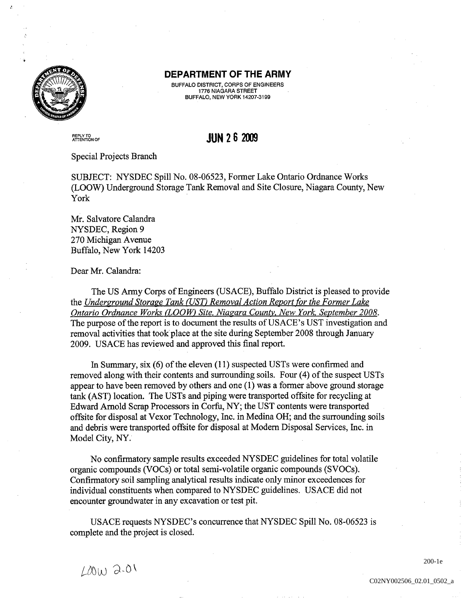

## DEPARTMENT OF THE ARMY

BUFFALO DISTRICT, CORPS OF ENGINEERS<br>1776 NIAGARA STREET **BUFFALO, NEW YORK 14207-3199** 

REPLY TO<br>ATTENTION

## **JUN 2 6 2009**

## Special Projects Branch

SUBJECT: NYSDEC Spill No. 08-06523, Former Lake Ontario Ordnance Works (LOOW) Underground Storage Tank Removal and Site Closure, Niagara County, New York

Mr. Salvatore Calandra NYSDEC, Region 9 270 Michigan Avenue Buffalo, New York 14203

Dear Mr. Calandra:

The US Army Corps of Engineers (USACE), Buffalo District is pleased to provide the Underground Storage Tank (UST) Removal Action Report for the Former Lake Ontario Ordnance Works (LOOW) Site, Niagara County, New York, September 2008. The purpose of the report is to document the results of USACE's UST investigation and removal activities that took place at the site during September 2008 through January 2009. USACE has reviewed and approved this final report.

In Summary, six  $(6)$  of the eleven  $(11)$  suspected USTs were confirmed and removed along with their contents and surrounding soils. Four  $(4)$  of the suspect USTs appear to have been removed by others and one  $(1)$  was a former above ground storage tank (AST) location. The USTs and piping were transported offsite for recycling at Edward Arnold Scrap Processors in Corfu, NY; the UST contents were transported offsite for disposal at Vexor Technology, Inc. in Medina OH; and the surrounding soils and debris were transported offsite for disposal at Modern Disposal Services, Inc. in Model City, NY.

No confirmatory sample results exceeded NYSDEC guidelines for total volatile organic compounds (VOCs) or total semi-volatile organic compounds (SVOCs). Confirmatory soil sampling analytical results indicate only minor exceedences for individual constituents when compared to NYSDEC guidelines. USACE did not encounter groundwater in any excavation or test pit

USACE requests NYSDEC's concurrence that NYSDEC Spill No. 08-06523 is complete and the project is closed

 $L00W$  2.01

200-1e